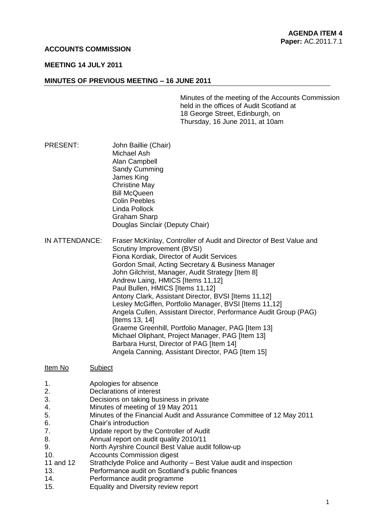## **ACCOUNTS COMMISSION**

#### **MEETING 14 JULY 2011**

#### **MINUTES OF PREVIOUS MEETING – 16 JUNE 2011**

Minutes of the meeting of the Accounts Commission held in the offices of Audit Scotland at 18 George Street, Edinburgh, on Thursday, 16 June 2011, at 10am

- PRESENT: John Baillie (Chair) Michael Ash Alan Campbell Sandy Cumming James King Christine May Bill McQueen Colin Peebles Linda Pollock Graham Sharp Douglas Sinclair (Deputy Chair)
- IN ATTENDANCE: Fraser McKinlay, Controller of Audit and Director of Best Value and Scrutiny Improvement (BVSI) Fiona Kordiak, Director of Audit Services Gordon Smail, Acting Secretary & Business Manager John Gilchrist, Manager, Audit Strategy [Item 8] Andrew Laing, HMICS [Items 11,12] Paul Bullen, HMICS [Items 11,12] Antony Clark, Assistant Director, BVSI [Items 11,12] Lesley McGiffen, Portfolio Manager, BVSI [Items 11,12] Angela Cullen, Assistant Director, Performance Audit Group (PAG) [Items 13, 14] Graeme Greenhill, Portfolio Manager, PAG [Item 13] Michael Oliphant, Project Manager, PAG [Item 13] Barbara Hurst, Director of PAG [Item 14] Angela Canning, Assistant Director, PAG [Item 15]
- Item No Subject
- 1. Apologies for absence
- 2. Declarations of interest
- 3. Decisions on taking business in private
- 4. Minutes of meeting of 19 May 2011
- 5. Minutes of the Financial Audit and Assurance Committee of 12 May 2011
- 6. Chair's introduction
- 7. Update report by the Controller of Audit
- 8. Annual report on audit quality 2010/11
- 9. North Ayrshire Council Best Value audit follow-up
- 10. Accounts Commission digest
- 11 and 12 Strathclyde Police and Authority Best Value audit and inspection
- 13. Performance audit on Scotland's public finances
- 14. Performance audit programme
- 15. Equality and Diversity review report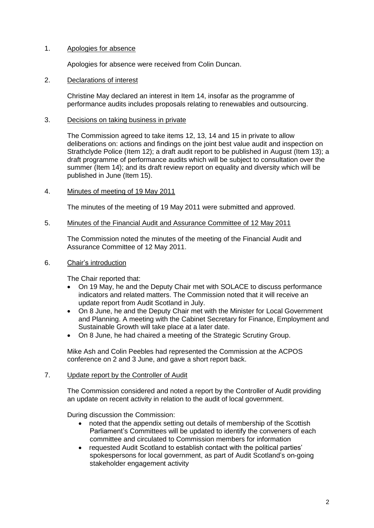# 1. Apologies for absence

Apologies for absence were received from Colin Duncan.

## 2. Declarations of interest

Christine May declared an interest in Item 14, insofar as the programme of performance audits includes proposals relating to renewables and outsourcing.

## 3. Decisions on taking business in private

The Commission agreed to take items 12, 13, 14 and 15 in private to allow deliberations on: actions and findings on the joint best value audit and inspection on Strathclyde Police (Item 12); a draft audit report to be published in August (Item 13); a draft programme of performance audits which will be subject to consultation over the summer (Item 14); and its draft review report on equality and diversity which will be published in June (Item 15).

## 4. Minutes of meeting of 19 May 2011

The minutes of the meeting of 19 May 2011 were submitted and approved.

## 5. Minutes of the Financial Audit and Assurance Committee of 12 May 2011

The Commission noted the minutes of the meeting of the Financial Audit and Assurance Committee of 12 May 2011.

## 6. Chair's introduction

The Chair reported that:

- On 19 May, he and the Deputy Chair met with SOLACE to discuss performance indicators and related matters. The Commission noted that it will receive an update report from Audit Scotland in July.
- On 8 June, he and the Deputy Chair met with the Minister for Local Government and Planning. A meeting with the Cabinet Secretary for Finance, Employment and Sustainable Growth will take place at a later date.
- On 8 June, he had chaired a meeting of the Strategic Scrutiny Group.

Mike Ash and Colin Peebles had represented the Commission at the ACPOS conference on 2 and 3 June, and gave a short report back.

#### 7. Update report by the Controller of Audit

The Commission considered and noted a report by the Controller of Audit providing an update on recent activity in relation to the audit of local government.

During discussion the Commission:

- noted that the appendix setting out details of membership of the Scottish Parliament's Committees will be updated to identify the conveners of each committee and circulated to Commission members for information
- requested Audit Scotland to establish contact with the political parties' spokespersons for local government, as part of Audit Scotland's on-going stakeholder engagement activity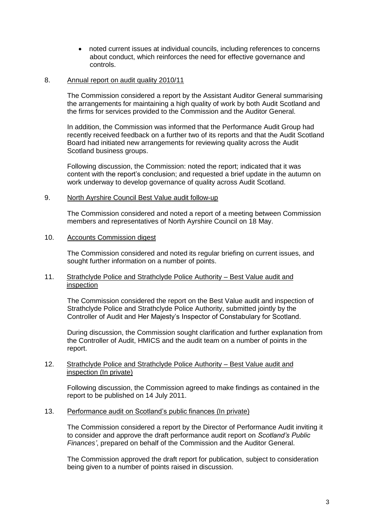noted current issues at individual councils, including references to concerns about conduct, which reinforces the need for effective governance and controls.

# 8. Annual report on audit quality 2010/11

The Commission considered a report by the Assistant Auditor General summarising the arrangements for maintaining a high quality of work by both Audit Scotland and the firms for services provided to the Commission and the Auditor General.

In addition, the Commission was informed that the Performance Audit Group had recently received feedback on a further two of its reports and that the Audit Scotland Board had initiated new arrangements for reviewing quality across the Audit Scotland business groups.

Following discussion, the Commission: noted the report; indicated that it was content with the report's conclusion; and requested a brief update in the autumn on work underway to develop governance of quality across Audit Scotland.

## 9. North Ayrshire Council Best Value audit follow-up

The Commission considered and noted a report of a meeting between Commission members and representatives of North Ayrshire Council on 18 May.

## 10. Accounts Commission digest

The Commission considered and noted its regular briefing on current issues, and sought further information on a number of points.

## 11. Strathclyde Police and Strathclyde Police Authority – Best Value audit and inspection

The Commission considered the report on the Best Value audit and inspection of Strathclyde Police and Strathclyde Police Authority, submitted jointly by the Controller of Audit and Her Majesty's Inspector of Constabulary for Scotland.

During discussion, the Commission sought clarification and further explanation from the Controller of Audit, HMICS and the audit team on a number of points in the report.

## 12. Strathclyde Police and Strathclyde Police Authority – Best Value audit and inspection (In private)

Following discussion, the Commission agreed to make findings as contained in the report to be published on 14 July 2011.

# 13. Performance audit on Scotland's public finances (In private)

The Commission considered a report by the Director of Performance Audit inviting it to consider and approve the draft performance audit report on *Scotland's Public Finances'*, prepared on behalf of the Commission and the Auditor General.

The Commission approved the draft report for publication, subject to consideration being given to a number of points raised in discussion.